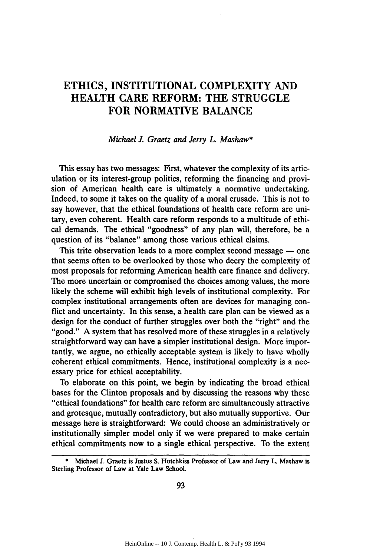# ETHICS, **INSTITUTIONAL** COMPLEXITY **AND** HEALTH CARE REFORM: THE **STRUGGLE** FOR NORMATIVE **BALANCE**

#### *Michael 1. Graetz and Jerry L. Mashaw\**

This essay has two messages: First, whatever the complexity of its articulation or its interest-group politics, reforming the financing and provision of American health care is ultimately a normative undertaking. Indeed, to some it takes on the quality of a moral crusade. This is not to say however, that the ethical foundations of health care reform are unitary, even coherent. Health care reform responds to a multitude of ethical demands. The ethical "goodness" of any plan will, therefore, be a question of its "balance" among those various ethical claims.

This trite observation leads to a more complex second message  $-$  one that seems often to be overlooked **by** those who decry the complexity of most proposals for reforming American health care finance and delivery. The more uncertain or compromised the choices among values, the more likely the scheme will exhibit high levels of institutional complexity. For complex institutional arrangements often are devices for managing conflict and uncertainty. In this sense, a health care plan can be viewed as a design for the conduct of further struggles over both the "right" and the "good." **A** system that has resolved more of these struggles in a relatively straightforward way can have a simpler institutional design. More importantly, we argue, no ethically acceptable system is likely to have wholly coherent ethical commitments. Hence, institutional complexity is a necessary price for ethical acceptability.

To elaborate on this point, we begin **by** indicating the broad ethical bases for the Clinton proposals and **by** discussing the reasons why these "ethical foundations" for health care reform are simultaneously attractive and grotesque, mutually contradictory, but also mutually supportive. Our message here is straightforward: We could choose an administratively or institutionally simpler model only if we were prepared to make certain ethical commitments now to a single ethical perspective. To the extent

<sup>\*</sup> Michael **J.** Graetz is Justus **S.** Hotchkiss Professor **of** Law and Jerry L. Mashaw is Sterling Professor **of** Law at Yale Law School.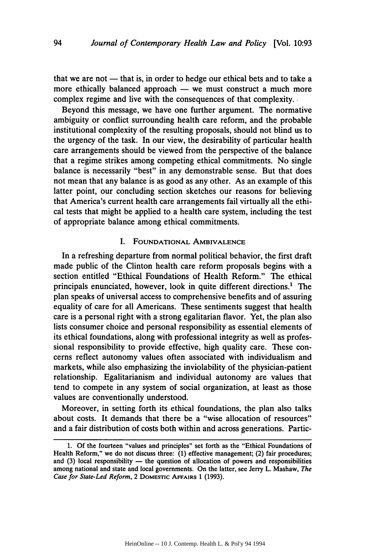that we are not  $-$  that is, in order to hedge our ethical bets and to take a more ethically balanced approach  $-$  we must construct a much more complex regime and live with the consequences of that complexity.

Beyond this message, we have one further argument. The normative ambiguity or conflict surrounding health care reform, and the probable institutional complexity of the resulting proposals, should not blind us to the urgency of the task. In our view, the desirability of particular health care arrangements should be viewed from the perspective of the balance that a regime strikes among competing ethical commitments. No single balance is necessarily "best" in any demonstrable sense. But that does not mean that any balance is as good as any other. As an example of this latter point, our concluding section sketches our reasons for believing that America's current health care arrangements fail virtually all the ethical tests that might be applied to a health care system, including the test of appropriate balance among ethical commitments.

### I. FOUNDATIONAL AMBIVALENCE

In a refreshing departure from normal political behavior, the first draft made public of the Clinton health care reform proposals begins with a section entitled "Ethical Foundations of Health Reform." The ethical principals enunciated, however, look in quite different directions.1 The plan speaks of universal access to comprehensive benefits and of assuring equality of care for all Americans. These sentiments suggest that health care is a personal right with a strong egalitarian flavor. Yet, the plan also lists consumer choice and personal responsibility as essential elements of its ethical foundations, along with professional integrity as well as professional responsibility to provide effective, high quality care. These concerns reflect autonomy values often associated with individualism and markets, while also emphasizing the inviolability of the physician-patient relationship. Egalitarianism and individual autonomy are values that tend to compete in any system of social organization, at least as those values are conventionally understood.

Moreover, in setting forth its ethical foundations, the plan also talks about costs. It demands that there be a "wise allocation of resources" and a fair distribution of costs both within and across generations. Partic-

**<sup>1.</sup> Of** the fourteen "values and principles" set forth as the "Ethical Foundations of Health Reform," we do not discuss three: **(1)** effective management; (2) fair procedures; and **(3)** local responsibility **-** the question of allocation of powers and responsibilities among national and state and local governments. On the latter, see Jerry L. Mashaw, The *Case for State-Led Reform,* 2 **DOMESTIC AFFAIRS** 1 **(1993).**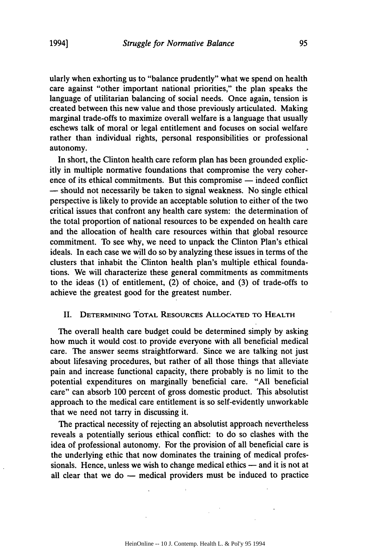ularly when exhorting us to "balance prudently" what we spend on health care against "other important national priorities," the plan speaks the language of utilitarian balancing of social needs. Once again, tension is created between this new value and those previously articulated. Making marginal trade-offs to maximize overall welfare is a language that usually eschews talk of moral or legal entitlement and focuses on social welfare rather than individual rights, personal responsibilities or professional autonomy.

In short, the Clinton health care reform plan has been grounded explicitly in multiple normative foundations that compromise the very coherence of its ethical commitments. But this compromise — indeed conflict **-** should not necessarily be taken to signal weakness. No single ethical perspective is likely to provide an acceptable solution to either of the two critical issues that confront any health care system: the determination of the total proportion of national resources to be expended on health care and the allocation of health care resources within that global resource commitment. To see why, we need to unpack the Clinton Plan's ethical ideals. In each case we will do so by analyzing these issues in terms of the clusters that inhabit the Clinton health plan's multiple ethical foundations. We will characterize these general commitments as commitments to the ideas (1) of entitlement, (2) of choice, and (3) of trade-offs to achieve the greatest good for the greatest number.

#### **II.** DETERMINING TOTAL RESOURCEs ALLOCATED TO HEALTH

The overall health care budget could be determined simply by asking how much it would cost. to provide everyone with all beneficial medical care. The answer seems straightforward. Since we are talking not just about lifesaving procedures, but rather of all those things that alleviate pain and increase functional capacity, there probably is no limit to the potential expenditures on marginally beneficial care. "All beneficial care" can absorb 100 percent of gross domestic product. This absolutist approach to the medical care entitlement is so self-evidently unworkable that we need not tarry in discussing it.

The practical necessity of rejecting an absolutist approach nevertheless reveals a potentially serious ethical conflict: to do so clashes with the idea of professional autonomy. For the provision of all beneficial care is the underlying ethic that now dominates the training of medical professionals. Hence, unless we wish to change medical ethics — and it is not at all clear that we do  $-$  medical providers must be induced to practice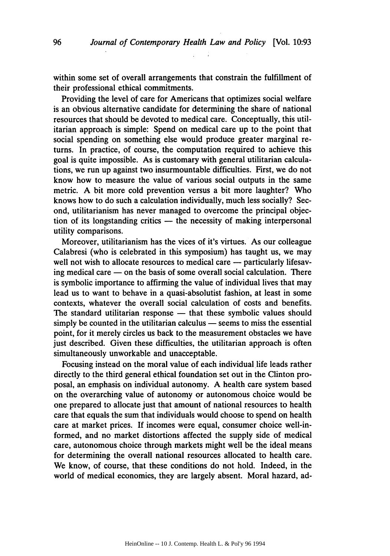within some set of overall arrangements that constrain the fulfillment of their professional ethical commitments.

Providing the level of care for Americans that optimizes social welfare is an obvious alternative candidate for determining the share of national resources that should be devoted to medical care. Conceptually, this utilitarian approach is simple: Spend on medical care up to the point that social spending on something else would produce greater marginal returns. In practice, of course, the computation required to achieve this goal is quite impossible. As is customary with general utilitarian calculations, we run up against two insurmountable difficulties. First, we do not know how to measure the value of various social outputs in the same metric. A bit more cold prevention versus a bit more laughter? Who knows how to do such a calculation individually, much less socially? Second, utilitarianism has never managed to overcome the principal objection of its longstanding critics  $-$  the necessity of making interpersonal utility comparisons.

Moreover, utilitarianism has the vices of it's virtues. As our colleague Calabresi (who is celebrated in this symposium) has taught us, we may well not wish to allocate resources to medical care — particularly lifesaving medical care  $-$  on the basis of some overall social calculation. There is symbolic importance to affirming the value of individual lives that may lead us to want to behave in a quasi-absolutist fashion, at least in some contexts, whatever the overall social calculation of costs and benefits. The standard utilitarian response — that these symbolic values should  $simplify$  be counted in the utilitarian calculus  $-$  seems to miss the essential point, for it merely circles us back to the measurement obstacles we have just described. Given these difficulties, the utilitarian approach is often simultaneously unworkable and unacceptable.

Focusing instead on the moral value of each individual life leads rather directly to the third general ethical foundation set out in the Clinton proposal, an emphasis on individual autonomy. A health care system based on the overarching value of autonomy or autonomous choice would be one prepared to allocate just that amount of national resources to health care that equals the sum that individuals would choose to spend on health care at market prices. If incomes were equal, consumer choice well-informed, and no market distortions affected the supply side of medical care, autonomous choice through markets might well be the ideal means for determining the overall national resources allocated to health care. We know, of course, that these conditions do not hold. Indeed, in the world of medical economics, they are largely absent. Moral hazard, ad-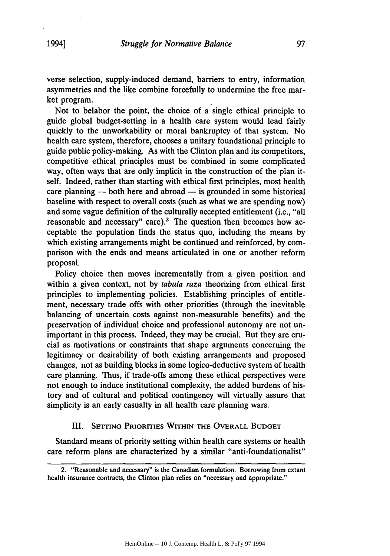Not to belabor the point, the choice of a single ethical principle to guide global budget-setting in a health care system would lead fairly quickly to the unworkability or moral bankruptcy of that system. No health care system, therefore, chooses a unitary foundational principle to guide public policy-making. As with the Clinton plan and its competitors, competitive ethical principles must be combined in some complicated way, often ways that are only implicit in the construction of the plan itself. Indeed, rather than starting with ethical first principles, most health care planning - both here and abroad - is grounded in some historical baseline with respect to overall costs (such as what we are spending now) and some vague definition of the culturally accepted entitlement (i.e., "all reasonable and necessary" care).<sup>2</sup> The question then becomes how acceptable the population finds the status quo, including the means by which existing arrangements might be continued and reinforced, by comparison with the ends and means articulated in one or another reform proposal.

Policy choice then moves incrementally from a given position and within a given context, not by *tabula raza* theorizing from ethical first principles to implementing policies. Establishing principles of entitlement, necessary trade offs with other priorities (through the inevitable balancing of uncertain costs against non-measurable benefits) and the preservation of individual choice and professional autonomy are not unimportant in this process. Indeed, they may be crucial. But they are crucial as motivations or constraints that shape arguments concerning the legitimacy or desirability of both existing arrangements and proposed changes, not as building blocks in some logico-deductive system of health care planning. Thus, if trade-offs among these ethical perspectives were not enough to induce institutional complexity, the added burdens of history and of cultural and political contingency will virtually assure that simplicity is an early casualty in all health care planning wars.

## III. **SETTING PRIORITIES WITHIN THE OVERALL BUDGET**

Standard means of priority setting within health care systems or health care reform plans are characterized by a similar "anti-foundationalist"

<sup>2. &</sup>quot;Reasonable and necessary" is the Canadian formulation. Borrowing from extant health insurance contracts, the Clinton plan relies on "necessary and appropriate."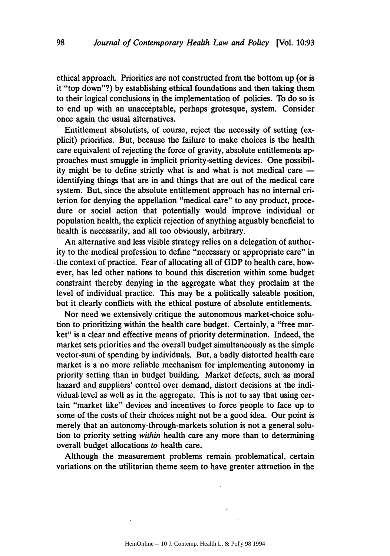ethical approach. Priorities are not constructed from the bottom up (or is it "top down"?) by establishing ethical foundations and then taking them to their logical conclusions in the implementation of policies. To do so is to end up with an unacceptable, perhaps grotesque, system. Consider once again the usual alternatives.

Entitlement absolutists, of course, reject the necessity of setting (explicit) priorities. But, because the failure to make choices is the health care equivalent of rejecting the force of gravity, absolute entitlements approaches must smuggle in implicit priority-setting devices. One possibility might be to define strictly what is and what is not medical care  identifying things that are in and things that are out of the medical care system. But, since the absolute entitlement approach has no internal criterion for denying the appellation "medical care" to any product, procedure or social action that potentially would improve individual or population health, the explicit rejection of anything arguably beneficial to health is necessarily, and all too obviously, arbitrary.

An alternative and less visible strategy relies on a delegation of authority to the medical profession to define "necessary or appropriate care" in the context of practice. Fear of allocating all of GDP to health care, however, has led other nations to bound this discretion within some budget constraint thereby denying in the aggregate what they proclaim at the level of individual practice. This may be a politically saleable position, but it clearly conflicts with the ethical posture of absolute entitlements.

Nor need we extensively critique the autonomous market-choice solution to prioritizing within the health care budget. Certainly, a "free market" is a clear and effective means of priority determination. Indeed, the market sets priorities and the overall budget simultaneously as the simple vector-sum of spending by individuals. But, a badly distorted health care market is a no more reliable mechanism for implementing autonomy in priority setting than in budget building. Market defects, such as moral hazard and suppliers' control over demand, distort decisions at the individual, level as well as in the aggregate. This is not to say that using certain "market like" devices and incentives to force people to face up to some of the costs of their choices might not be a good idea. Our point is merely that an autonomy-through-markets solution is not a general solution to priority setting *within* health care any more than to determining overall budget allocations *to* health care.

Although the measurement problems remain problematical, certain variations on the utilitarian theme seem to have greater attraction in the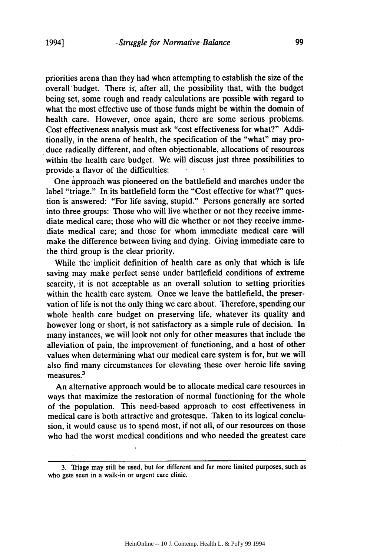priorities arena than they had when attempting to establish the size of the overall' budget. There is, after all, the possibility that, with the budget being set, some rough and ready calculations are possible with regard to what the most effective use of those funds might be within the domain of health care. However, once again, there are some serious problems. Cost effectiveness analysis must ask "cost effectiveness for what?" Additionally, in the- arena of health, the specification of the "what" may produce radically different, and often objectionable, allocations of resources within the health care budget. We will discuss just three possibilities to provide a flavor of the difficulties:

One approach was pioneered on the battlefield and marches under the label "triage." In its battlefield form the "Cost effective for what?" question is answered: "For life saving, stupid." Persons generally are sorted into three groups: Those who will live whether or not they receive immediate medical care; those who will die whether or not they receive immediate medical care; and those for whom immediate medical care will make the difference between living and dying. Giving immediate care to the third group is the clear priority.

While the implicit definition of health care as only that which is life saving may make perfect sense under battlefield conditions of extreme scarcity, it is not acceptable as an overall solution to setting priorities within the health care system. Once we leave the battlefield, the preservation of life is not the only thing we care about. Therefore, spending our whole health care budget on preserving life, whatever its quality and however long or short, is not satisfactory as a simple rule of decision. In many instances, we will look not only for other measures that include the alleviation of pain, the improvement of functioning, and a host of other values when determining what our medical care system is for, but we will also find many circumstances for elevating these over heroic life saving  $measures.<sup>3</sup>$ 

An alternative approach would be to allocate medical care resources in ways that maximize the restoration of normal functioning for the whole of the population. This need-based approach to cost effectiveness in medical care is both attractive and grotesque. Taken to its logical conclusion, it would cause us to spend most, if not all, of our resources on those who had the worst medical conditions and who needed the greatest care

<sup>3.</sup> Triage may still be used, but for different and far more limited purposes, such as who gets seen in a walk-in or urgent care clinic.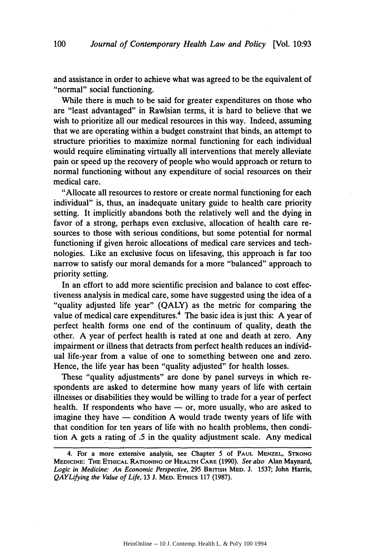and assistance in order to achieve what was agreed to be the equivalent of "normal" social functioning.

While there is much to be said for greater expenditures on those who are "least advantaged" in Rawlsian terms, it is hard to believe, that we wish to prioritize all our medical resources in this way. Indeed, assuming that we are operating within a budget constraint that binds, an attempt to structure priorities to maximize normal functioning for each individual would require eliminating virtually all interventions that merely alleviate pain or speed up the recovery of people who would approach or return to normal functioning without any expenditure of social resources on their medical care.

"Allocate all resources to restore or create normal functioning for each individual" is, thus, an inadequate unitary guide to health care priority setting. It implicitly abandons both the relatively well and the dying in favor of a strong, perhaps even exclusive, allocation of health care resources to those with serious conditions, but some potential for normal functioning if given heroic allocations of medical care services and technologies. Like an exclusive focus on lifesaving, this approach is far too narrow to satisfy our moral demands for a more "balanced" approach to priority setting.

In an effort to add more scientific precision and balance to cost effectiveness analysis in medical care, some have suggested using the idea of a "quality adjusted life year" (QALY) as the metric for comparing the value of medical care expenditures.<sup>4</sup> The basic idea is just this: A year of perfect health forms one end of the continuum of quality, death the other. A year of perfect health is rated at one and death at zero. Any impairment or illness that detracts from perfect health reduces an individual life-year from a value of one to something between one and zero. Hence, the life year has been "quality adjusted" for health losses.

These "quality adjustments" are done by panel surveys in which respondents are asked to determine how many years of life with certain illnesses or disabilities they would be willing to trade for a year of perfect health. If respondents who have  $-$  or, more usually, who are asked to imagine they have  $-$  condition A would trade twenty years of life with that condition for ten years of life with no health problems, then condition A gets a rating of .5 in the quality adjustment scale. Any medical

<sup>4.</sup> For a more extensive analysis, see Chapter 5 **of PAUL MENZEL, STRONG MEDICINE: THE ETHICAL RATIONING OF HEALTH CARE** (1990). *See also* Alan **Maynard,** *Logic in Medicine: An Economic Perspective,* 295 BRITISH MED. J. 1537; John Harris, *QAYLifying the Value of Life,* 13 J. MED. ETHICS 117 (1987).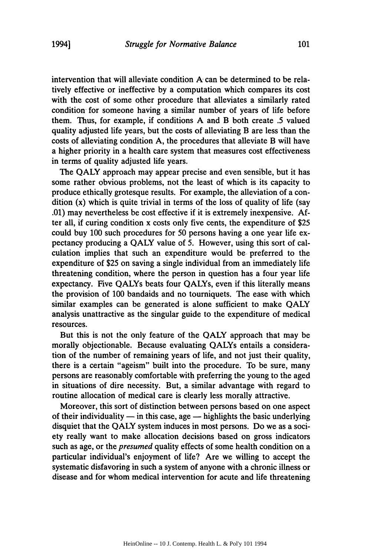intervention that will alleviate condition A can be determined to be relatively effective or ineffective by a computation which compares its cost with the cost of some other procedure that alleviates a similarly rated condition for someone having a similar number of years of life before them. Thus, for example, if conditions A and B both create .5 valued quality adjusted life years, but the costs of alleviating B are less than the costs of alleviating condition A, the procedures that alleviate B will have a higher priority in a health care system that measures cost effectiveness in terms of quality adjusted life years.

The QALY approach may appear precise and even sensible, but it has some rather obvious problems, not the least of which is its capacity to produce ethically grotesque results. For example, the alleviation of a condition (x) which is quite trivial in terms of the loss of quality of life (say .01) may nevertheless be cost effective if it is extremely inexpensive. After all, if curing condition x costs only five cents, the expenditure of \$25 could buy 100 such procedures for 50 persons having a one year life expectancy producing a QALY value of 5. However, using this sort of calculation implies that such an expenditure would be preferred to the expenditure of \$25 on saving a single individual from an immediately life threatening condition, where the person in question has a four year life expectancy. Five QALYs beats four QALYs, even if this literally means the provision of 100 bandaids and no tourniquets. The ease with which similar examples can be generated is alone sufficient to make QALY analysis unattractive as the singular guide to the expenditure of medical resources.

But this is not the only feature of the QALY approach that may be morally objectionable. Because evaluating QALYs entails a consideration of the number of remaining years of life, and not just their quality, there is a certain "ageism" built into the procedure. To be sure, many persons are reasonably comfortable with preferring the young to the aged in situations of dire necessity. But, a similar advantage with regard to routine allocation of medical care is clearly less morally attractive.

Moreover, this sort of distinction between persons based on one aspect of their individuality  $-$  in this case, age  $-$  highlights the basic underlying disquiet that the QALY system induces in most persons. Do we as a society really want to make allocation decisions based on gross indicators such as age, or the *presumed* quality effects of some health condition on a particular individual's enjoyment of life? Are we willing to accept the systematic disfavoring in such a system of anyone with a chronic illness or disease and for whom medical intervention for acute and life threatening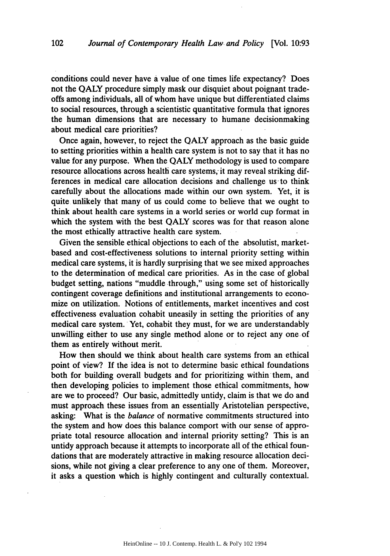conditions could never have a value of one times life expectancy? Does not the QALY procedure simply mask our disquiet about poignant tradeoffs among individuals, all of whom have unique but differentiated claims to social resources, through a scientistic quantitative formula that ignores the human dimensions that are necessary to humane decisionmaking about medical care priorities?

Once again, however, to reject the QALY approach as the basic guide to setting priorities within a health care system is not to say that it has no value for any purpose. When the QALY methodology is used to compare resource allocations across health care systems, it may reveal striking differences in medical care allocation decisions and challenge us to think carefully about the allocations made within our own system. Yet, it is quite unlikely that many of us could come to believe that we ought to think about health care systems in a world series or world cup format in which the system with the best QALY scores was for that reason alone the most ethically attractive health care system.

Given the sensible ethical objections to each of the absolutist, marketbased and cost-effectiveness solutions to internal priority setting within medical care systems, it is hardly surprising that we see mixed approaches to the determination of medical care priorities. As in the case of global budget setting, nations "muddle through," using some set of historically contingent coverage definitions and institutional arrangements to economize on utilization. Notions of entitlements, market incentives and cost effectiveness evaluation cohabit uneasily in setting the priorities of any medical care system. Yet, cohabit they must, for we are understandably unwilling either to use any single method alone or to reject any one of them as entirely without merit.

How then should we think about health care systems from an ethical point of view? If the idea is not to determine basic ethical foundations both for building overall budgets and for prioritizing within them, and then developing policies to implement those ethical commitments, how are we to proceed? Our basic, admittedly untidy, claim is that we do and must approach these issues from an essentially Aristotelian perspective, asking: What is the *balance* of normative commitments structured into the system and how does this balance comport with our sense of appropriate total resource allocation and internal priority setting? This is an untidy approach because it attempts to incorporate all of the ethical foundations that are moderately attractive in making resource allocation decisions, while not giving a clear preference to any one of them. Moreover, it asks a question which is highly contingent and culturally contextual.

HeinOnline -- 10 J. Contemp. Health L. & Pol'y 102 1994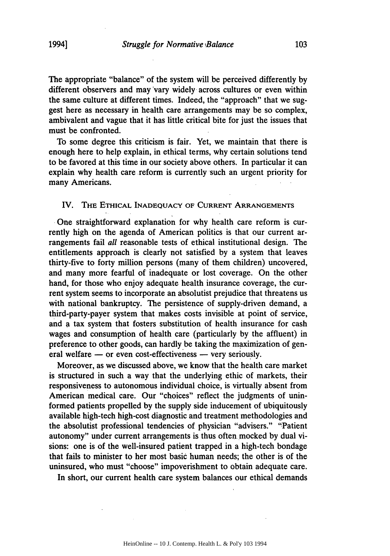The appropriate "balance" of the system will be perceived differently by different observers and may vary widely across cultures or even within the same culture at different times. Indeed, the "approach" that we suggest here as necessary in health care arrangements may be so complex, ambivalent and vague that it has little critical bite for just the issues that must be confronted.

To some degree this criticism is fair. Yet, we maintain that there is enough here to help explain, in ethical terms, why certain solutions tend to be favored at this time in our society above others. In particular it can explain why health care reform is currently such an urgent priority for many Americans.

### IV. THE ETHICAL **INADEQUACY** OF **CURRENT ARRANGEMENTS**

One straightforward explanation for why health care reform is currently high on the agenda of American politics is that our current arrangements fail *all* reasonable tests of ethical institutional design. The entitlements approach is clearly not satisfied **by** a system that leaves thirty-five to forty million persons (many of them children) uncovered, and many more fearful of inadequate or lost coverage. On the other hand, for those who enjoy adequate health insurance coverage, the current system seems to incorporate an absolutist prejudice that threatens us with national bankruptcy. The persistence of supply-driven demand, a third-party-payer system that makes costs invisible at point of service, and a tax system that fosters substitution of health insurance for cash wages and consumption of health care (particularly **by** the affluent) in preference to other goods, can hardly be taking the maximization of general welfare  $-$  or even cost-effectiveness  $-$  very seriously.

Moreover, as we discussed above, we know that the health care market is structured in such a way that the underlying ethic of markets, their responsiveness to autonomous individual choice, is virtually absent from American medical care. Our "choices" reflect the judgments of uninformed patients propelled **by** the supply side inducement of ubiquitously available high-tech high-cost diagnostic and treatment methodologies and the absolutist professional tendencies of physician "advisers." '"Patient autonomy" under current arrangements is thus often mocked **by** dual visions: one is of the well-insured patient trapped in a high-tech bondage that fails to minister to her most basic human needs; the other is of the uninsured, who must "choose" impoverishment to obtain adequate care.

In short, our current health care system balances our ethical demands